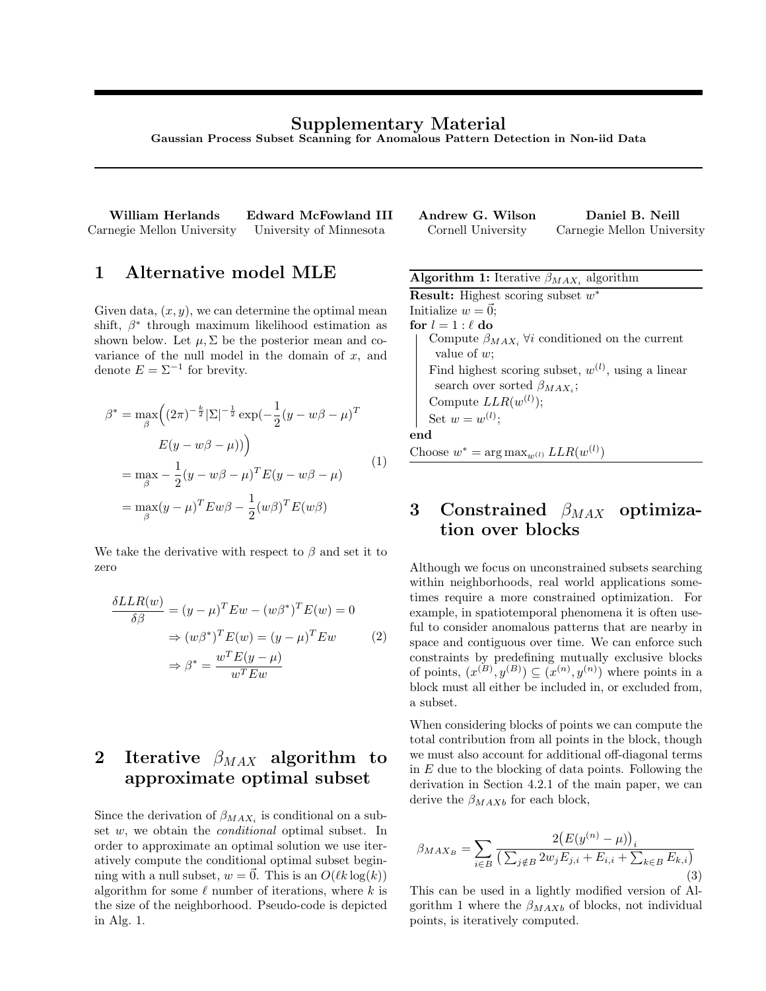### Supplementary Material

Gaussian Process Subset Scanning for Anomalous Pattern Detection in Non-iid Data

William Herlands Edward McFowland III  $\frac{1}{2}$ Carnegie Mellon University University of Minnesota

1 Alternative model MLE

Given data,  $(x, y)$ , we can determine the optimal mean shift,  $\beta^*$  through maximum likelihood estimation as shown below. Let  $\mu$ ,  $\Sigma$  be the posterior mean and covariance of the null model in the domain of  $x$ , and denote  $E = \Sigma^{-1}$  for brevity.

$$
\beta^* = \max_{\beta} \left( (2\pi)^{-\frac{k}{2}} |\Sigma|^{-\frac{1}{2}} \exp(-\frac{1}{2}(y - w\beta - \mu)^T
$$

$$
E(y - w\beta - \mu)) \right)
$$

$$
= \max_{\beta} -\frac{1}{2}(y - w\beta - \mu)^T E(y - w\beta - \mu)
$$

$$
= \max_{\beta} (y - \mu)^T E w\beta - \frac{1}{2}(w\beta)^T E(w\beta)
$$
(1)

We take the derivative with respect to  $\beta$  and set it to zero

$$
\frac{\delta LLR(w)}{\delta \beta} = (y - \mu)^T E w - (w\beta^*)^T E(w) = 0
$$

$$
\Rightarrow (w\beta^*)^T E(w) = (y - \mu)^T E w \qquad (2)
$$

$$
\Rightarrow \beta^* = \frac{w^T E(y - \mu)}{w^T E w}
$$

## 2 Iterative  $\beta_{MAX}$  algorithm to approximate optimal subset

Since the derivation of  $\beta_{MAX_i}$  is conditional on a subset w, we obtain the conditional optimal subset. In order to approximate an optimal solution we use iteratively compute the conditional optimal subset beginning with a null subset,  $w = \vec{0}$ . This is an  $O(\ell k \log(k))$ algorithm for some  $\ell$  number of iterations, where k is the size of the neighborhood. Pseudo-code is depicted in Alg. 1.

| Andrew G. Wilson   | Daniel B. Neill            |
|--------------------|----------------------------|
| Cornell University | Carnegie Mellon University |

| <b>Algorithm 1:</b> Iterative $\beta_{MAX_i}$ algorithm        |
|----------------------------------------------------------------|
| <b>Result:</b> Highest scoring subset $w^*$                    |
| Initialize $w = \vec{0}$ ;                                     |
| for $l = 1 : \ell$ do                                          |
| Compute $\beta_{MAX_i}$ $\forall i$ conditioned on the current |
| value of $w$ ;                                                 |
| Find highest scoring subset, $w^{(l)}$ , using a linear        |
| search over sorted $\beta_{MAX}$ ;                             |
| Compute $LLR(w^{(l)})$ ;                                       |
| Set $w=w^{(l)}$ ;                                              |
| end                                                            |
| Choose $w^* = \arg \max_{w^{(l)}} LLR(w^{(l)})$                |

# 3 Constrained  $\beta_{MAX}$  optimization over blocks

Although we focus on unconstrained subsets searching within neighborhoods, real world applications sometimes require a more constrained optimization. For example, in spatiotemporal phenomena it is often useful to consider anomalous patterns that are nearby in space and contiguous over time. We can enforce such constraints by predefining mutually exclusive blocks of points,  $(x^{(B)}, y^{(B)}) \subseteq (x^{(n)}, y^{(n)})$  where points in a block must all either be included in, or excluded from, a subset.

When considering blocks of points we can compute the total contribution from all points in the block, though we must also account for additional off-diagonal terms in  $E$  due to the blocking of data points. Following the derivation in Section 4.2.1 of the main paper, we can derive the  $\beta_{MAXb}$  for each block,

$$
\beta_{MAX_B} = \sum_{i \in B} \frac{2(E(y^{(n)} - \mu))_i}{\left(\sum_{j \notin B} 2w_j E_{j,i} + E_{i,i} + \sum_{k \in B} E_{k,i}\right)}
$$
\n(3)

This can be used in a lightly modified version of Algorithm 1 where the  $\beta_{MAXb}$  of blocks, not individual points, is iteratively computed.